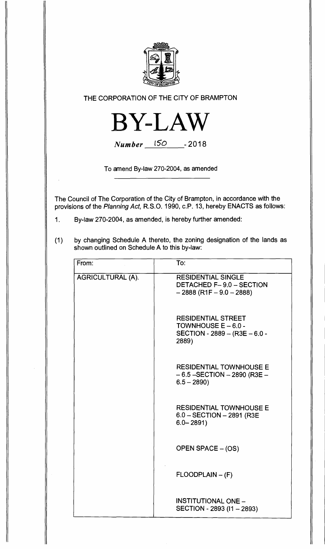

**THE CORPORATION OF THE CITY OF BRAMPTON** 



Number 150 - **2018** 

**To amend By-law 270-2004, as amended** 

**The Council of The Corporation of the City of Brampton, in accordance with the provisions of the** Planning Act, **R.S.O. 1990, c.P. 13, hereby ENACTS as follows:** 

- **1. By-law 270-2004, as amended, is hereby further amended:**
- **(1) by changing Schedule A thereto, the zoning designation of the lands as shown outlined on Schedule A to this by-law:**

| From:                    | To:                                                                                          |
|--------------------------|----------------------------------------------------------------------------------------------|
| <b>AGRICULTURAL (A).</b> | <b>RESIDENTIAL SINGLE</b><br><b>DETACHED F-9.0 - SECTION</b><br>$-2888$ (R1F $-9.0 - 2888$ ) |
|                          | <b>RESIDENTIAL STREET</b><br>TOWNHOUSE $E - 6.0 -$<br>SECTION - 2889 - (R3E - 6.0 -<br>2889) |
|                          | <b>RESIDENTIAL TOWNHOUSE E</b><br>$-6.5$ -SECTION $-2890$ (R3E $-$<br>$6.5 - 2890$           |
|                          | <b>RESIDENTIAL TOWNHOUSE E</b><br>$6.0 - SECTION - 2891 (R3E)$<br>$6.0 - 2891$               |
|                          | OPEN SPACE - (OS)                                                                            |
|                          | $FLOODPLAIN - (F)$                                                                           |
|                          | <b>INSTITUTIONAL ONE -</b><br>SECTION - 2893 (11 - 2893)                                     |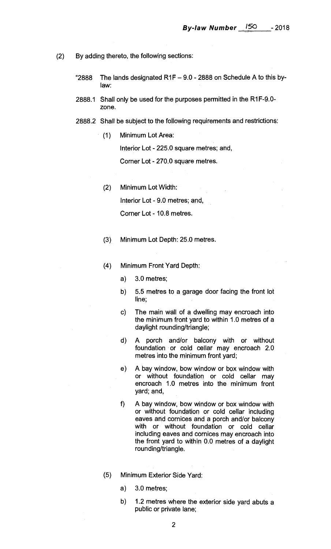- (2) By adding thereto, the following sections:
	- "2888 The lands designated  $R1F 9.0 2888$  on Schedule A to this bylaw:
	- 2888.1 Shall only be used for the purposes permitted in the R1F-9.0 zone.
	- 2888.2 Shall be subject to the following requirements and restrictions:
		- (1) Minimum Lot Area:

Interior Lot - 225.0 square metres; and,

Corner Lot - 270.0 square metres.

(2) Minimum Lot Width:

Interior Lot - 9.0 metres; and,

Corner Lot - 10.8 metres.

- (3) Minimum Lot Depth: 25.0 metres.
- (4) Minimum Front Yard Depth:
	- a) 3.0 metres;
	- b) 5.5 metres to a garage door facing the front lot line;
	- c) The main wall of a dwelling may encroach into the minimum front yard to within 1.0 metres of a daylight rounding/triangle;
	- d) A porch and/or balcony with or without foundation or cold cellar may encroach 2.0 metres into the minimum front yard;
	- e) A bay window, bow window or box window with or without foundation or cold cellar may encroach 1.0 metres into the minimum front yard; and,
	- f) A bay window, bow window or box window with or without foundation or cold cellar including eaves and cornices and a porch and/or balcony with or without foundation or cold cellar including eaves and cornices may encroach into the front yard to within 0.0 metres of a daylight rounding/triangle.
- (5) Minimum Exterior Side Yard:
	- a) 3.0 metres;
	- b) 1.2 metres where the exterior side yard abuts a public or private lane;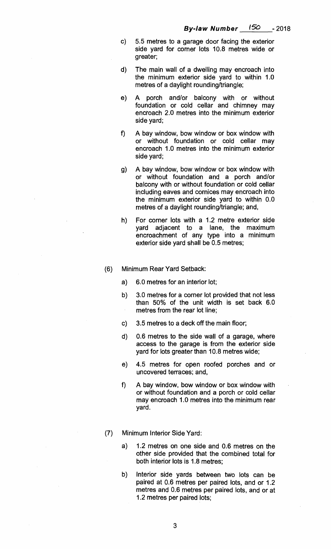- **c) 5.5 metres to a garage door facing the exterior side yard for corner lots 10.8 metres wide or greater;**
- **d) The main wall of a dwelling may encroach into the minimum exterior side yard to within 1.0 metres of a daylight rounding/triangle;**
- **e) A porch and/or balcony with or without foundation or cold cellar and chimney may encroach 2.0 metres into the minimum exterior side yard;**
- **f) A bay window, bow window or box window with or without foundation or cold cellar may encroach 1.0 metres into the minimum exterior side yard;**
- **g) A bay window, bow window or box window with or without foundation and a porch and/or balcony with or without foundation or cold cellar including eaves and cornices may encroach into the minimum exterior side yard to within 0.0 metres of a daylight rounding/triangle; and,**
- **h) For corner lots with a 1.2 metre exterior side yard adjacent to a lane, the maximum encroachment of any type into a minimum exterior side yard shall be 0.5 metres;**
- **(6) Minimum Rear Yard Setback:** 
	- **a) 6.0 metres for an interior lot;**
	- **b) 3.0 metres for a corner lot provided that not less than 50% of the unit width is set back 6.0 metres from the rear lot line;**
	- **c) 3.5 metres to a deck off the main floor;**
	- **d) 0.6 metres to the side wall of a garage, where access to the garage is from the exterior side yard for lots greater than 10.8 metres wide;**
	- **e) 4.5 metres for open roofed porches and or uncovered terraces; and,**
	- **f) A bay window, bow window or box window with or without foundation and a porch or cold cellar may encroach 1.0 metres into the minimum rear yard.**
- **(7) Minimum Interior Side Yard:** 
	- **a) 1.2 metres on one side and 0.6 metres on the other side provided that the combined total for both interior lots is 1.8 metres;**
	- **b) Interior side yards between two lots can be paired at 0.6 metres per paired lots, and or 1.2 metres and 0.6 metres per paired lots, and or at 1.2 metres per paired lots;**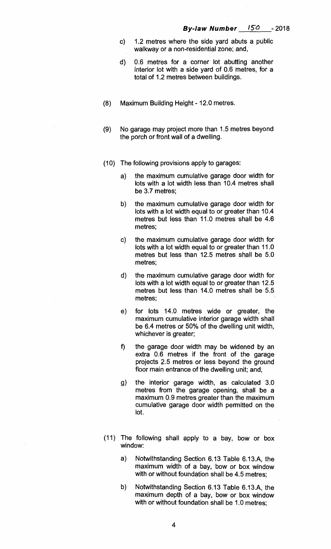- c) **1.2 metres where the side yard abuts a public walkway or a non-residential zone; and,**
- **d) 0.6 metres for a corner lot abutting another interior lot with a side yard of 0.6 metres, for a total of 1.2 metres between buildings.**
- **(8) Maximum Building Height 12.0 metres.**
- **(9) No garage may project more than 1.5 metres beyond the porch or front wall of a dwelling.**
- **(10) The following provisions apply to garages:** 
	- **a) the maximum cumulative garage door width for lots with a lot width less than 10.4 metres shall be 3.7 metres;**
	- **the maximum cumulative garage door width for**   $b)$ **lots with a lot width equal to or greater than 10.4 metres but less than 11.0 metres shall be 4.6 metres;**
	- **the maximum cumulative garage door width for**  C) **lots with a lot width equal to or greater than 11.0 metres but less than 12.5 metres shall be 5.0 metres;**
	- $\mathbf{d}$ **the maximum cumulative garage door width for lots with a lot width equal to or greater than 12.5 metres but less than 14.0 metres shall be 5.5 metres;**
	- **e) for lots 14.0 metres wide or greater, the maximum cumulative interior garage width shall be 6.4 metres or 50% of the dwelling unit width, whichever is greater;**
	- **f) the garage door width may be widened by an extra 0.6 metres if the front of the garage projects 2.5 metres or less beyond the ground floor main entrance of the dwelling unit; and,**
	- g) **the interior garage width, as calculated 3.0 metres from the garage opening, shall be a maximum 0.9 metres greater than the maximum cumulative garage door width permitted on the lot.**
- **(11) The following shall apply to a bay, bow or box window:** 
	- **a) Notwithstanding Section 6.13 Table 6.13.A, the maximum width of a bay, bow or box window with or without foundation shall be 4.5 metres;**
	- **b) Notwithstanding Section 6.13 Table 6.13.A, the maximum depth of a bay, bow or box window with or without foundation shall be 1.0 metres;**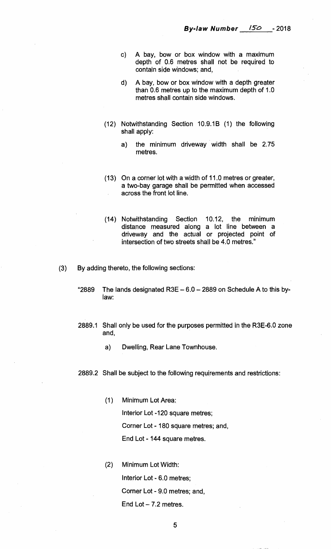- **c) A bay, bow or box window with a maximum depth of 0.6 metres shall not be required to contain side windows; and,**
- **d) A bay, bow or box window with a depth greater than 0.6 metres up to the maximum depth of 1.0 metres shall contain side windows.**
- **(12) Notwithstanding Section 10.9.1B (1) the following shall apply:** 
	- **a) the minimum driveway width shall be 2.75 metres.**
- **(13) On a corner lot with a width of 11.0 metres or greater, a two-bay garage shall be permitted when accessed across the front lot line.**
- **(14) Notwithstanding Section 10.12, the minimum distance measured along a lot line between a driveway and the actual or projected point of intersection of two streets shall be 4.0 metres."**
- **(3) By adding thereto, the following sections:** 
	- **"2889 The lands designated. R3E 6.0 2889 on Schedule A to this bylaw:**
	- **2889.1 Shall only be used for the purposes permitted in the R3E-6.0 zone and,** 
		- **a) Dwelling, Rear Lane Townhouse.**
	- **2889.2 Shall be subject to the following requirements and restrictions:** 
		- **(1) Minimum Lot Area: Interior Lot -120 square metres; Corner Lot - 180 square metres; and, End Lot - 144 square metres.**
		- **(2) Minimum Lot Width: Interior Lot - 6.0 metres; Corner Lot - 9.0 metres; and, End Lot — 7.2 metres.**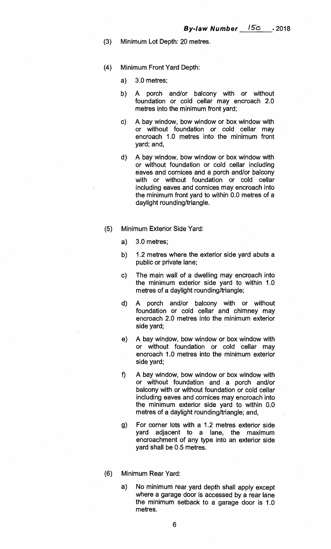- **(3) Minimum Lot Depth: 20 metres.**
- **(4) Minimum Front Yard Depth:** 
	- **a) 3.0 metres;**
	- **b) A porch and/or balcony with or without foundation or cold cellar may encroach 2.0 metres into the minimum front yard;**
	- **c) A bay window, bow window or box window with or without foundation or cold cellar may encroach 1.0 metres into the minimum front yard; and,**
	- **d) A bay window, bow window or box window with or without foundation or cold cellar including eaves and cornices and a porch and/or balcony with or without foundation or cold cellar including eaves and cornices may encroach into the minimum front yard to within 0.0 metres of a daylight rounding/triangle.**
- **(5) Minimum Exterior Side Yard:** 
	- **a) 3.0 metres;**
	- **b) 1.2 metres where the exterior side yard abuts a public or private lane;**
	- **c) The main wall of a dwelling may encroach into the minimum exterior side yard to within 1.0 metres of a daylight rounding/triangle;**
	- **d) A porch and/or balcony with or without foundation or cold cellar and chimney may encroach 2.0 metres into the minimum exterior side yard;**
	- **e) A bay window, bow window or box window with or without foundation or cold cellar may encroach 1.0 metres into the minimum exterior side yard;**
	- **f) A bay window, bow window or box window with or without foundation and a porch and/or balcony with or without foundation or cold cellar including eaves and cornices may encroach into the minimum exterior side yard to within 0.0 metres of a daylight rounding/triangle; and,**
	- **g) For corner lots with a 1.2 metres exterior side yard adjacent to a lane, the maximum encroachment of any type into an exterior side yard shall be 0.5 metres.**
- **(6) Minimum Rear Yard:** 
	- **a) No minimum rear yard depth shall apply except where a garage door is accessed by a rear lane the minimum setback to a garage door is 1.0 metres.**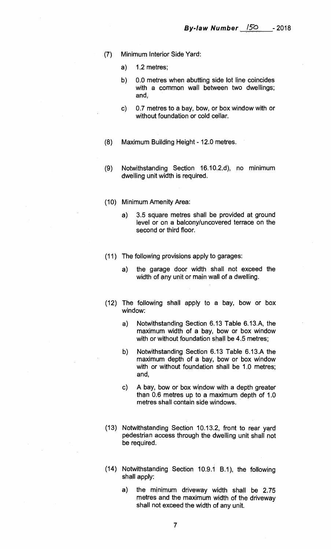- (7) Minimum Interior Side Yard:
	- a) 1.2 metres;
	- b) 0.0 metres when abutting side lot line coincides with a common wall between two dwellings; and,
	- c) 0.7 metres to a bay, bow, or box window with or without foundation or cold cellar.
- (8) Maximum Building Height 12.0 metres.
- (9) Notwithstanding Section 16.10.2.d), no minimum dwelling unit width is required.
- (10) Minimum Amenity Area:
	- a) 3.5 square metres shall be provided at ground level or on a balcony/uncovered terrace on the second or third floor.
- (11) The following provisions apply to garages:
	- a) the garage door width shall not exceed the width of any unit or main wall of a dwelling.
- (12) The following shall apply to a bay, bow or box window:
	- a) Notwithstanding Section 6.13 Table 6.13.A, the maximum width of a bay, bow or box window with or without foundation shall be 4.5 metres;
	- b) Notwithstanding Section 6.13 Table 6.13.A the maximum depth of a bay, bow or box window with or without foundation shall be 1.0 metres; and,
	- c) A bay, bow or box window with a depth greater than 0.6 metres up to a maximum depth of 1.0 metres shall contain side windows.
- (13) Notwithstanding Section 10.13.2, front to rear yard pedestrian access through the dwelling unit shall not be required.
- (14) Notwithstanding Section 10.9.1 B.1), the following shall apply:
	- a) the minimum driveway width shall be 2.75 metres and the maximum width of the driveway shall not exceed the width of any unit.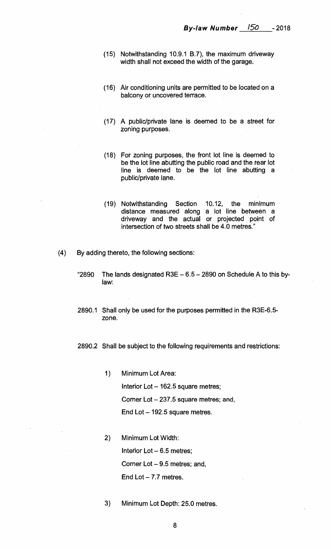- **(15) Notwithstanding 10.9.1 B.7), the maximum driveway width shall not exceed the width of the garage.**
- **(16) Air conditioning units are permitted to be located on a balcony or uncovered terrace.**
- **(17) A public/private lane is deemed to be a street for zoning purposes.**
- **(18) For zoning purposes, the front lot line is deemed to be the lot line abutting the public road and the rear lot line is deemed to be the lot line abutting a public/private lane.**
- **(19) Notwithstanding Section 10.12, the minimum distance measured along a lot line between a driveway and the actual or projected point of intersection of two streets shall be 4.0 metres."**
- **(4) By adding thereto, the following sections:** 
	- **"2890 The lands designated R3E 6.5 2890 on Schedule A to this bylaw:**
	- **2890.1 Shall only be used for the purposes permitted in the R3E-6.5 zone.**

**2890.2 Shall be subject to the following requirements and restrictions:** 

- 1) Minimum Lot Area: **Interior Lot — 162.5 square metres; Corner Lot — 237.5 square metres; and, End Lot —192.5 square metres.**
- **2) Minimum Lot Width: Interior Lot — 6.5 metres; Corner Lot — 9.5 metres; and, End Lot — 7.7 metres.**
- $3)$ **Minimum Lot Depth: 25.0 metres.**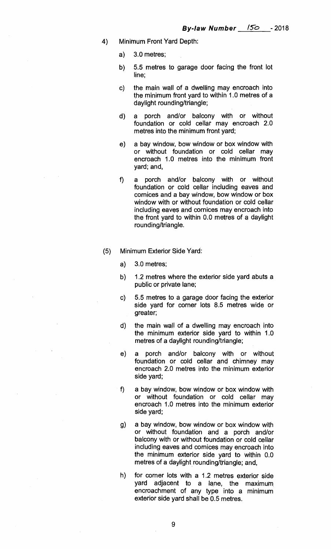- 4) Minimum Front Yard Depth:
	- a) 3.0 metres;
	- b) 5.5 metres to garage door facing the front lot line;
	- c) the main wall of a dwelling may encroach into the minimum front yard to within 1.0 metres of a daylight rounding/triangle;
	- d) a porch and/or balcony with or without foundation or cold cellar may encroach 2.0 metres into the minimum front yard;
	- e) a bay window, bow window or box window with or without foundation or cold cellar may encroach 1.0 metres into the minimum front yard; and,
	- f) a porch and/or balcony with or without foundation or cold cellar including eaves and cornices and a bay window, bow window or box window with or without foundation or cold cellar including eaves and cornices may encroach into the front yard to within 0.0 metres of a daylight rounding/triangle.
- (5) Minimum Exterior Side Yard:
	- a) 3.0 metres;
	- b) 1.2 metres where the exterior side yard abuts a public or private lane;
	- c) 5.5 metres to a garage door facing the exterior side yard for corner lots 8.5 metres wide or greater;
	- d) the main wall of a dwelling may encroach, into the minimum exterior side yard to within 1.0 metres of a daylight rounding/triangle;
	- e) a porch and/or balcony with or without foundation or cold cellar and chimney may encroach 2.0 metres into the minimum exterior side yard;
	- f) a bay window, bow window or box window with or without foundation or cold cellar may encroach 1.0 metres into the minimum exterior side yard;
	- g) a bay window, bow window or box window with or without foundation and a porch and/or balcony with or without foundation or cold cellar including eaves and cornices may encroach into the minimum exterior side yard to within 0.0 metres of a daylight rounding/triangle; and,
	- $h)$ for corner lots with a 1.2 metres exterior side yard adjacent to a lane, the maximum encroachment of any type into a minimum exterior side yard shall be 0.5 metres.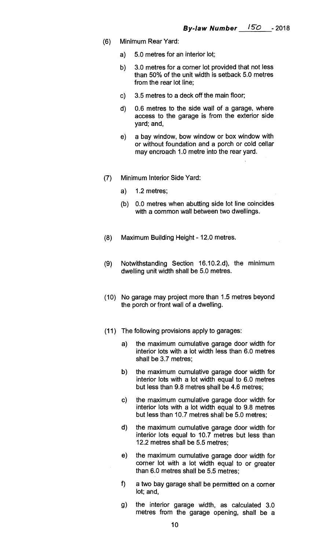- **(6) Minimum Rear Yard:** 
	- **a) 5.0 metres for an interior lot;**
	- **b) 3.0 metres for a corner lot provided that not less than 50% of the unit width is setback 5.0 metres from the rear lot line;**
	- **c) 3.5 metres to a deck off the main floor;**
	- **d) 0.6 metres to the side wall of a garage, where access to the garage is from the exterior side yard; and,**
	- **e) a bay window, bow window or box window with or without foundation and a porch or cold cellar may encroach 1.0 metre into the rear yard.**
- **(7) Minimum Interior Side Yard:** 
	- **a) 1.2 metres;**
	- **(b) 0.0 metres when abutting side lot line coincides with a common wall between two dwellings.**
- **(8) Maximum Building Height 12.0 metres.**
- **(9) Notwithstanding Section 16.10.2.d), the minimum dwelling unit width shall be 5.0 metres.**
- **(10) No garage may project more than 1.5 metres beyond the porch or front wall of a dwelling.**
- **(11) The following provisions apply to garages:** 
	- **a) the maximum cumulative garage door width for interior lots with a lot width less than 6.0 metres shall be 3.7 metres;**
	- **b) the maximum cumulative garage door width for interior lots with a lot width equal to 6.0 metres but less than 9.8 metres shall be 4.6 metres;**
	- **c) the maximum cumulative garage door width for interior lots with a lot width equal to 9.8 metres but less than 10.7 metres shall be 5.0 metres;**
	- **d) the maximum cumulative garage door width for interior lots equal to 10.7 metres but less than 12.2 metres shall be 5.5 metres;**
	- **e) the maximum cumulative garage door width for corner lot with a lot width equal to or greater than 6.0 metres shall be 5.5 metres;**
	- **f) a two bay garage shall be permitted on a corner lot; and,**
	- **the interior garage width, as calculated 3.0**  g) **metres from the garage opening, shall be a**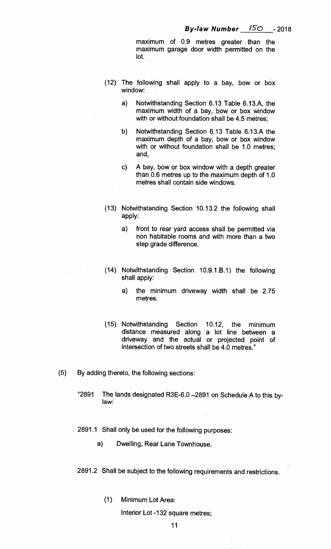**maximum of 0.9 metres greater than the maximum garage door width permitted on the lot.** 

- **(12) The following shall apply to a bay, bow or box window:** 
	- **a) Notwithstanding Section 6.13 Table 6.13.A, the maximum width of a bay, bow or box window with or without foundation shall be 4.5 metres;**
	- **b) Notwithstanding Section 6.13 Table 6.13.A the maximum depth of a bay, bow or box window with or without foundation shall be 1.0 metres; and,**
	- **c) A bay, bow or box window with a depth greater than 0.6 metres up to the maximum depth of 1.0 metres shall contain side windows.**
- **(13) Notwithstanding Section 10.13.2 the following shall apply:** 
	- **a) front to rear yard access shall be permitted via non habitable rooms and with more than a two step grade difference.**
- **(14) Notwithstanding Section 10.9.1.6.1) the following shall apply:** 
	- **a) the minimum driveway width shall be 2.75 metres.**
- **(15) Notwithstanding Section 10.12, the minimum distance measured along a lot line between a driveway and the actual or projected point of intersection of two streets shall be 4.0 metres."**
- **(5) By adding thereto, the following sections:** 
	- **"2891 The lands designated R3E-6.0 —2891 on Schedule A to this bylaw:**
	- **2891.1 Shall only be used for the following purposes:** 
		- **a) Dwelling, Rear Lane Townhouse.**
	- **2891.2 Shall be subject to the following requirements and restrictions.** 
		- **(1) Minimum Lot Area:**

**Interior Lot -132 square metres;**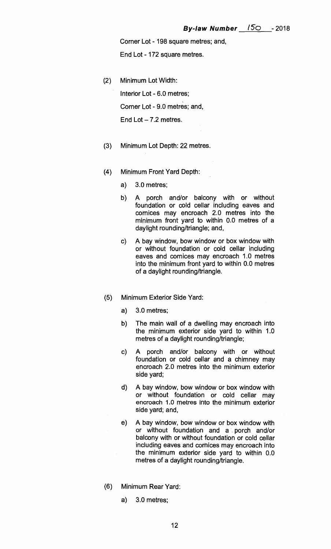**Corner Lot - 198 square metres; and,** 

**End Lot - 172 square metres.** 

**(2) Minimum Lot Width:** 

**Interior Lot - 6.0 metres; Corner Lot - 9.0 metres; and, End Lot — 7.2 metres.** 

- **(3) Minimum Lot Depth: 2**:**2 metres.**
- **(4) Minimum Front Yard Depth:** 
	- **a) 3.0 metres;**
	- **b) A porch and/or balcony with or without foundation or cold cellar including eaves and cornices may encroach 2.0 metres into the minimum front yard to within 0.0 metres of a daylight rounding/triangle; and,**
	- **c) A bay window, bow window or box window with or without foundation or cold cellar including eaves and cornices may encroach 1.0 metres into the minimum front yard to within 0.0 metres of a daylight rounding/triangle.**
- **(5) Minimum Exterior Side Yard:** 
	- **a) 3.0 metres;**
	- **b) The main wall of a dwelling may encroach into the minimum exterior side yard to within 1.0 metres of a daylight rounding/triangle;**
	- **A porch and/or balcony with or without**   $c)$ **foundation or cold cellar and a chimney may encroach 2.0 metres into the minimum exterior side yard;**
	- **d) A bay window, bow window or box window with or without foundation or cold cellar may encroach 1.0 metres into the minimum exterior side yard; and,**
	- **e) A bay window, bow window or box window with or without foundation and a porch and/or balcony with or without foundation or cold cellar including eaves and cornices may encroach into the minimum exterior side yard to within 0.0 metres of a daylight rounding/triangle.**
- **(6) Minimum Rear Yard:** 
	- **a) 3.0 metres;**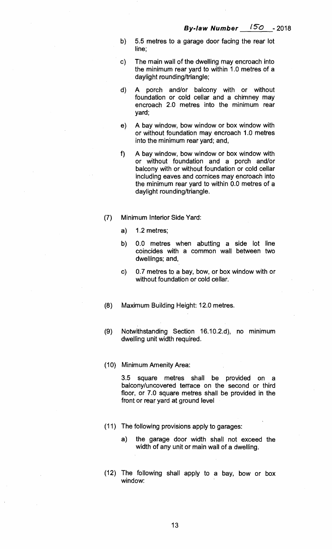- **b) 5.5 metres to a garage door facing the rear lot line;**
- **c) The main wall of the dwelling may encroach into the minimum rear yard to within 1.0 metres of a daylight rounding/triangle;**
- **d) A porch and/or balcony with or without foundation or cold cellar and a chimney may encroach 2.0 metres into the minimum rear yard;**
- **e) A bay window, bow window or box window with or without foundation may encroach 1.0 metres into the minimum rear yard; and,**
- **f) A bay window, bow window or box window with or without foundation and a porch and/or balcony with or without foundation or cold cellar including eaves and cornices may encroach into the minimum rear yard to within 0.0 metres of a daylight rounding/triangle.**
- **(7) Minimum Interior Side Yard:** 
	- **a) 1.2 metres;**
	- **b) 0.0 metres when abutting a side lot line coincides with a common wall between two dwellings; and,**
	- **c) 0.7 metres to a bay, bow, or box window with or without foundation or cold cellar.**
- **(8) Maximum Building Height: 12.0 metres.**
- **(9) Notwithstanding Section 16.10.2.d), no minimum dwelling unit width required.**
- **(10) Minimum Amenity Area:**

**3.5 square metres shall be provided on a balcony/uncovered terrace on the second or third floor, or 7.0 square metres shall be provided in the front or rear yard at ground level** 

- **(11) The following provisions apply to garages:** 
	- **a) the garage door width shall not exceed the width of any unit or main wall of a dwelling.**
- **(12) The following shall apply to a bay, bow or box window:**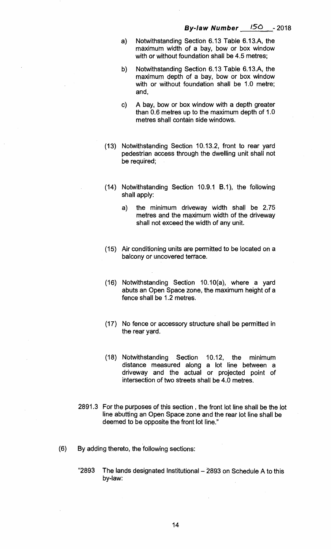- **a) Notwithstanding Section 6.13 Table 6.13.A, the maximum width of a bay, bow or box window with or without foundation shall be 4.5 metres;**
- **b) Notwithstanding Section 6.13 Table 6.13.A, the maximum depth of a bay, bow or box window with or without foundation shall be 1.0 metre; and,**
- **A bay, bow or box window with a depth greater**   $c)$ **than 0.6 metres up to the maximum depth of 1.0 metres shall contain side windows.**
- **(13) Notwithstanding Section 10.13.2, front to rear yard pedestrian access through the dwelling unit shall not be required;**
- **(14) Notwithstanding Section 10.9.1 B.1), the following shall apply:** 
	- **a) the minimum driveway width shall be 2.75 metres and the maximum width of the driveway shall not exceed the width of any unit.**
- **(15) Air conditioning units are permitted to be located on a balcony or uncovered terrace.**
- **(16) Notwithstanding Section 10.10(a), where a yard abuts an Open Space zone, the maximum height of a fence shall be 1.2 metres.**
- **(17) No fence or accessory structure shall be permitted in the rear yard.**
- **(18) Notwithstanding Section 10.12, the minimum distance measured along a lot line between a driveway and the actual or projected point of intersection of two streets shall be 4.0 metres.**
- **2891.3 For the purposes of this section , the front lot line shall be the lot line abutting an Open Space zone and the rear lot line shall be deemed to be opposite the front lot line."**
- **(6) By adding thereto, the following sections:** 
	- **"2893 The lands designated Institutional 2893 on Schedule A to this by-law:**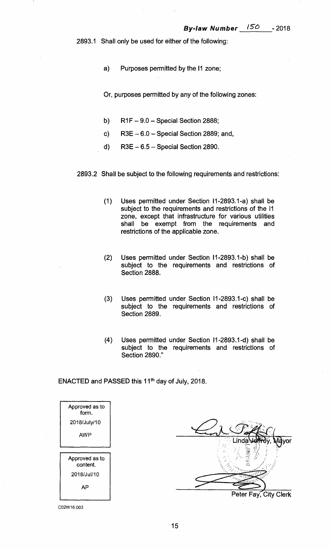**2893.1 Shall only be used for either of the following:** 

**a) Purposes permitted by the 11 zone;** 

**Or, purposes permitted by any of the following zones:** 

- **b) R1F 9.0 Special Section 2888;**
- **c) R3E 6.0 Special. Section 2889; and,**
- **d) R3E 6.5 Special Section 2890.**

**2893.2 Shall be subject to the following requirements and restrictions:** 

- **(1) Uses permitted under Section I1-2893.1-a) shall be subject to the requirements and restrictions of the 11 zone, except that infrastructure for various utilities shall be exempt from the requirements and restrictions of the applicable zone.**
- **(2) Uses permitted under Section I1-2893.1-b) shall be subject to the requirements and restrictions of Section 2888.**
- **(3) Uses permitted under Section 11-2893.1-c) shall be subject to the requirements and restrictions of Section 2889.**
- **(4) Uses permitted under Section I1-2893.1-d) shall be subject to the requirements and restrictions of Section 2890."**

**ENACTED and PASSED this 11th day of**. **July, 2018.** 

| Approved as to.<br>form.   |  |
|----------------------------|--|
| 2018/July/10               |  |
| AWP                        |  |
|                            |  |
| Approved as to<br>content. |  |
| 2018/Jul/10                |  |
| АP                         |  |
|                            |  |

**Peter Fay, City Clerk Linda yor**  13: cs'73

C02W16.003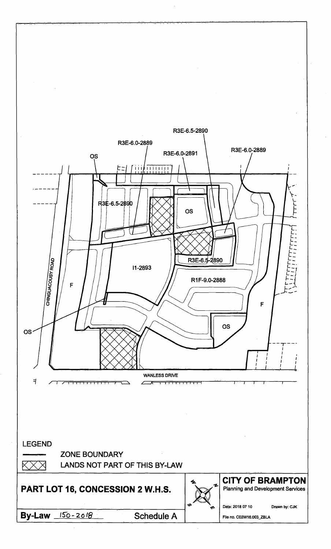